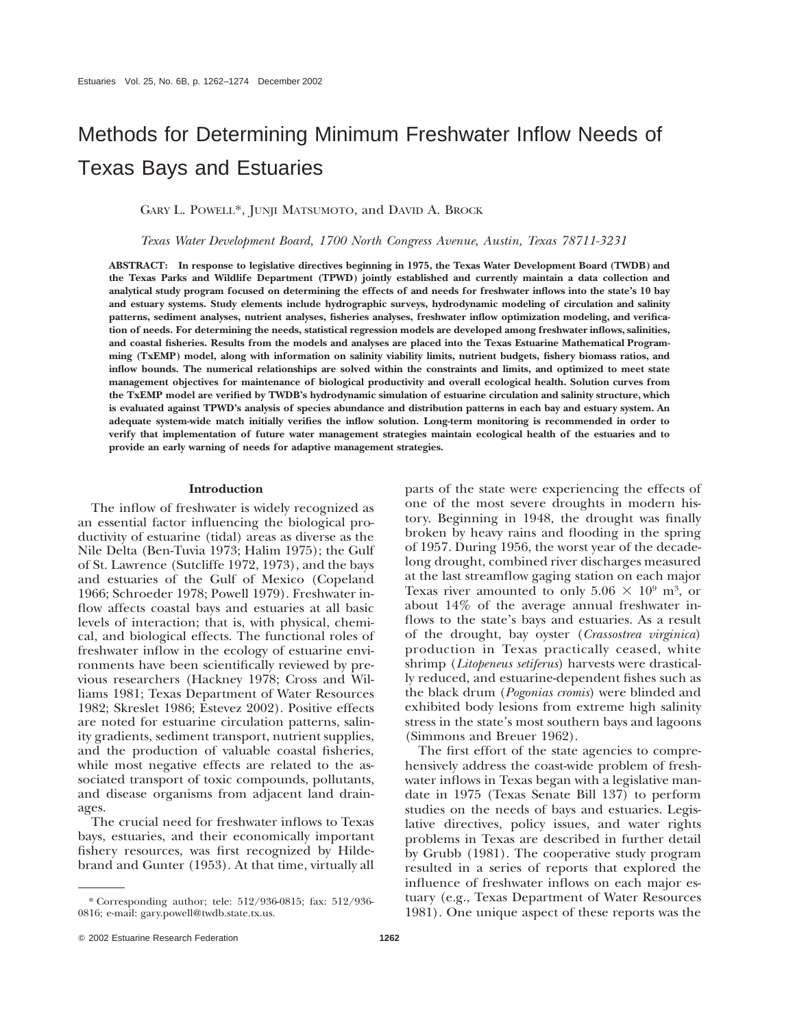# Methods for Determining Minimum Freshwater Inflow Needs of Texas Bays and Estuaries

GARY L. POWELL\*, JUNJI MATSUMOTO, and DAVID A. BROCK

*Texas Water Development Board, 1700 North Congress Avenue, Austin, Texas 78711-3231*

**ABSTRACT: In response to legislative directives beginning in 1975, the Texas Water Development Board (TWDB) and the Texas Parks and Wildlife Department (TPWD) jointly established and currently maintain a data collection and analytical study program focused on determining the effects of and needs for freshwater inflows into the state's 10 bay and estuary systems. Study elements include hydrographic surveys, hydrodynamic modeling of circulation and salinity patterns, sediment analyses, nutrient analyses, fisheries analyses, freshwater inflow optimization modeling, and verification of needs. For determining the needs, statistical regression models are developed among freshwater inflows, salinities, and coastal fisheries. Results from the models and analyses are placed into the Texas Estuarine Mathematical Programming (TxEMP) model, along with information on salinity viability limits, nutrient budgets, fishery biomass ratios, and inflow bounds. The numerical relationships are solved within the constraints and limits, and optimized to meet state management objectives for maintenance of biological productivity and overall ecological health. Solution curves from the TxEMP model are verified by TWDB's hydrodynamic simulation of estuarine circulation and salinity structure, which is evaluated against TPWD's analysis of species abundance and distribution patterns in each bay and estuary system. An adequate system-wide match initially verifies the inflow solution. Long-term monitoring is recommended in order to verify that implementation of future water management strategies maintain ecological health of the estuaries and to provide an early warning of needs for adaptive management strategies.**

### **Introduction**

The inflow of freshwater is widely recognized as an essential factor influencing the biological productivity of estuarine (tidal) areas as diverse as the Nile Delta (Ben-Tuvia 1973; Halim 1975); the Gulf of St. Lawrence (Sutcliffe 1972, 1973), and the bays and estuaries of the Gulf of Mexico (Copeland 1966; Schroeder 1978; Powell 1979). Freshwater inflow affects coastal bays and estuaries at all basic levels of interaction; that is, with physical, chemical, and biological effects. The functional roles of freshwater inflow in the ecology of estuarine environments have been scientifically reviewed by previous researchers (Hackney 1978; Cross and Williams 1981; Texas Department of Water Resources 1982; Skreslet 1986; Estevez 2002). Positive effects are noted for estuarine circulation patterns, salinity gradients, sediment transport, nutrient supplies, and the production of valuable coastal fisheries, while most negative effects are related to the associated transport of toxic compounds, pollutants, and disease organisms from adjacent land drainages.

The crucial need for freshwater inflows to Texas bays, estuaries, and their economically important fishery resources, was first recognized by Hildebrand and Gunter (1953). At that time, virtually all

Q 2002 Estuarine Research Federation **1262**

parts of the state were experiencing the effects of one of the most severe droughts in modern history. Beginning in 1948, the drought was finally broken by heavy rains and flooding in the spring of 1957. During 1956, the worst year of the decadelong drought, combined river discharges measured at the last streamflow gaging station on each major Texas river amounted to only  $5.06 \times 10^9$  m<sup>3</sup>, or about 14% of the average annual freshwater inflows to the state's bays and estuaries. As a result of the drought, bay oyster (*Crassostrea virginica*) production in Texas practically ceased, white shrimp (*Litopeneus setiferus*) harvests were drastically reduced, and estuarine-dependent fishes such as the black drum (*Pogonias cromis*) were blinded and exhibited body lesions from extreme high salinity stress in the state's most southern bays and lagoons (Simmons and Breuer 1962).

The first effort of the state agencies to comprehensively address the coast-wide problem of freshwater inflows in Texas began with a legislative mandate in 1975 (Texas Senate Bill 137) to perform studies on the needs of bays and estuaries. Legislative directives, policy issues, and water rights problems in Texas are described in further detail by Grubb (1981). The cooperative study program resulted in a series of reports that explored the influence of freshwater inflows on each major estuary (e.g., Texas Department of Water Resources 1981). One unique aspect of these reports was the

<sup>\*</sup> Corresponding author; tele: 512/936-0815; fax: 512/936- 0816; e-mail: gary.powell@twdb.state.tx.us.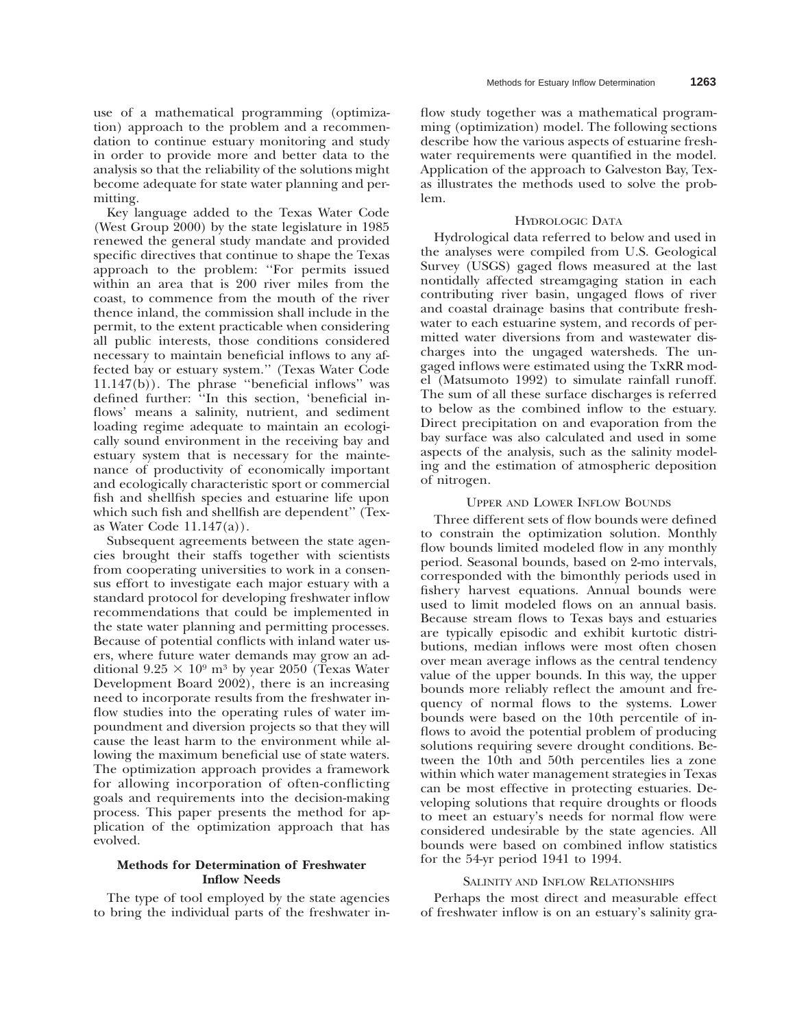use of a mathematical programming (optimization) approach to the problem and a recommendation to continue estuary monitoring and study in order to provide more and better data to the analysis so that the reliability of the solutions might become adequate for state water planning and permitting.

Key language added to the Texas Water Code (West Group 2000) by the state legislature in 1985 renewed the general study mandate and provided specific directives that continue to shape the Texas approach to the problem: ''For permits issued within an area that is 200 river miles from the coast, to commence from the mouth of the river thence inland, the commission shall include in the permit, to the extent practicable when considering all public interests, those conditions considered necessary to maintain beneficial inflows to any affected bay or estuary system.'' (Texas Water Code 11.147(b)). The phrase ''beneficial inflows'' was defined further: ''In this section, 'beneficial inflows' means a salinity, nutrient, and sediment loading regime adequate to maintain an ecologically sound environment in the receiving bay and estuary system that is necessary for the maintenance of productivity of economically important and ecologically characteristic sport or commercial fish and shellfish species and estuarine life upon which such fish and shellfish are dependent'' (Texas Water Code 11.147(a)).

Subsequent agreements between the state agencies brought their staffs together with scientists from cooperating universities to work in a consensus effort to investigate each major estuary with a standard protocol for developing freshwater inflow recommendations that could be implemented in the state water planning and permitting processes. Because of potential conflicts with inland water users, where future water demands may grow an additional  $9.25 \times 10^9$  m<sup>3</sup> by year 2050 (Texas Water Development Board 2002), there is an increasing need to incorporate results from the freshwater inflow studies into the operating rules of water impoundment and diversion projects so that they will cause the least harm to the environment while allowing the maximum beneficial use of state waters. The optimization approach provides a framework for allowing incorporation of often-conflicting goals and requirements into the decision-making process. This paper presents the method for application of the optimization approach that has evolved.

# **Methods for Determination of Freshwater Inflow Needs**

The type of tool employed by the state agencies to bring the individual parts of the freshwater in-

flow study together was a mathematical programming (optimization) model. The following sections describe how the various aspects of estuarine freshwater requirements were quantified in the model. Application of the approach to Galveston Bay, Texas illustrates the methods used to solve the problem.

## HYDROLOGIC DATA

Hydrological data referred to below and used in the analyses were compiled from U.S. Geological Survey (USGS) gaged flows measured at the last nontidally affected streamgaging station in each contributing river basin, ungaged flows of river and coastal drainage basins that contribute freshwater to each estuarine system, and records of permitted water diversions from and wastewater discharges into the ungaged watersheds. The ungaged inflows were estimated using the TxRR model (Matsumoto 1992) to simulate rainfall runoff. The sum of all these surface discharges is referred to below as the combined inflow to the estuary. Direct precipitation on and evaporation from the bay surface was also calculated and used in some aspects of the analysis, such as the salinity modeling and the estimation of atmospheric deposition of nitrogen.

## UPPER AND LOWER INFLOW BOUNDS

Three different sets of flow bounds were defined to constrain the optimization solution. Monthly flow bounds limited modeled flow in any monthly period. Seasonal bounds, based on 2-mo intervals, corresponded with the bimonthly periods used in fishery harvest equations. Annual bounds were used to limit modeled flows on an annual basis. Because stream flows to Texas bays and estuaries are typically episodic and exhibit kurtotic distributions, median inflows were most often chosen over mean average inflows as the central tendency value of the upper bounds. In this way, the upper bounds more reliably reflect the amount and frequency of normal flows to the systems. Lower bounds were based on the 10th percentile of inflows to avoid the potential problem of producing solutions requiring severe drought conditions. Between the 10th and 50th percentiles lies a zone within which water management strategies in Texas can be most effective in protecting estuaries. Developing solutions that require droughts or floods to meet an estuary's needs for normal flow were considered undesirable by the state agencies. All bounds were based on combined inflow statistics for the 54-yr period 1941 to 1994.

## SALINITY AND INFLOW RELATIONSHIPS

Perhaps the most direct and measurable effect of freshwater inflow is on an estuary's salinity gra-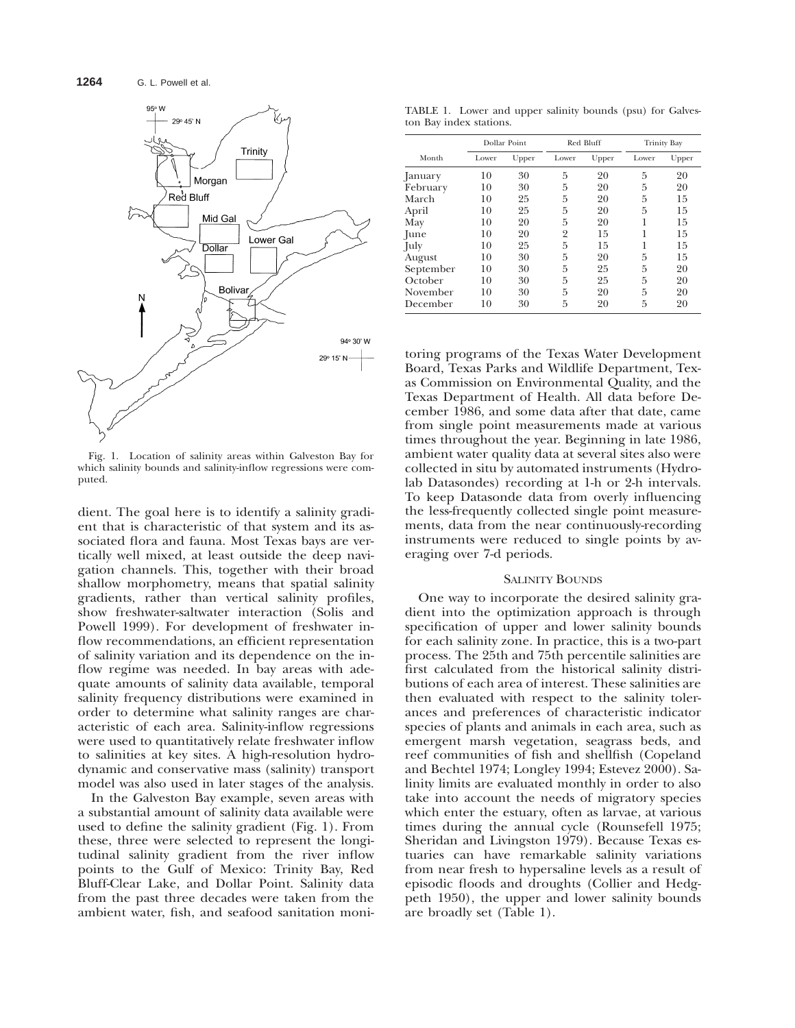

Fig. 1. Location of salinity areas within Galveston Bay for which salinity bounds and salinity-inflow regressions were computed.

dient. The goal here is to identify a salinity gradient that is characteristic of that system and its associated flora and fauna. Most Texas bays are vertically well mixed, at least outside the deep navigation channels. This, together with their broad shallow morphometry, means that spatial salinity gradients, rather than vertical salinity profiles, show freshwater-saltwater interaction (Solis and Powell 1999). For development of freshwater inflow recommendations, an efficient representation of salinity variation and its dependence on the inflow regime was needed. In bay areas with adequate amounts of salinity data available, temporal salinity frequency distributions were examined in order to determine what salinity ranges are characteristic of each area. Salinity-inflow regressions were used to quantitatively relate freshwater inflow to salinities at key sites. A high-resolution hydrodynamic and conservative mass (salinity) transport model was also used in later stages of the analysis.

In the Galveston Bay example, seven areas with a substantial amount of salinity data available were used to define the salinity gradient (Fig. 1). From these, three were selected to represent the longitudinal salinity gradient from the river inflow points to the Gulf of Mexico: Trinity Bay, Red Bluff-Clear Lake, and Dollar Point. Salinity data from the past three decades were taken from the ambient water, fish, and seafood sanitation moni-

TABLE 1. Lower and upper salinity bounds (psu) for Galveston Bay index stations.

|           |       | <b>Dollar Point</b> | Red Bluff      |       | <b>Trinity Bay</b> |       |
|-----------|-------|---------------------|----------------|-------|--------------------|-------|
| Month     | Lower | Upper               | Lower          | Upper | Lower              | Upper |
| January   | 10    | 30                  | 5              | 20    | 5                  | 20    |
| February  | 10    | 30                  | 5              | 20    | 5                  | 20    |
| March     | 10    | 25                  | 5              | 20    | 5                  | 15    |
| April     | 10    | 25                  | 5              | 20    | 5                  | 15    |
| May       | 10    | 20                  | 5              | 20    | 1                  | 15    |
| June      | 10    | 20                  | $\overline{2}$ | 15    | 1                  | 15    |
| July      | 10    | 25                  | 5              | 15    | 1                  | 15    |
| August    | 10    | 30                  | 5              | 20    | 5                  | 15    |
| September | 10    | 30                  | 5              | 25    | 5                  | 20    |
| October   | 10    | 30                  | 5              | 25    | 5                  | 20    |
| November  | 10    | 30                  | 5              | 20    | 5                  | 20    |
| December  | 10    | 30                  | 5              | 20    | 5                  | 20    |

toring programs of the Texas Water Development Board, Texas Parks and Wildlife Department, Texas Commission on Environmental Quality, and the Texas Department of Health. All data before December 1986, and some data after that date, came from single point measurements made at various times throughout the year. Beginning in late 1986, ambient water quality data at several sites also were collected in situ by automated instruments (Hydrolab Datasondes) recording at 1-h or 2-h intervals. To keep Datasonde data from overly influencing the less-frequently collected single point measurements, data from the near continuously-recording instruments were reduced to single points by averaging over 7-d periods.

# SALINITY BOUNDS

One way to incorporate the desired salinity gradient into the optimization approach is through specification of upper and lower salinity bounds for each salinity zone. In practice, this is a two-part process. The 25th and 75th percentile salinities are first calculated from the historical salinity distributions of each area of interest. These salinities are then evaluated with respect to the salinity tolerances and preferences of characteristic indicator species of plants and animals in each area, such as emergent marsh vegetation, seagrass beds, and reef communities of fish and shellfish (Copeland and Bechtel 1974; Longley 1994; Estevez 2000). Salinity limits are evaluated monthly in order to also take into account the needs of migratory species which enter the estuary, often as larvae, at various times during the annual cycle (Rounsefell 1975; Sheridan and Livingston 1979). Because Texas estuaries can have remarkable salinity variations from near fresh to hypersaline levels as a result of episodic floods and droughts (Collier and Hedgpeth 1950), the upper and lower salinity bounds are broadly set (Table 1).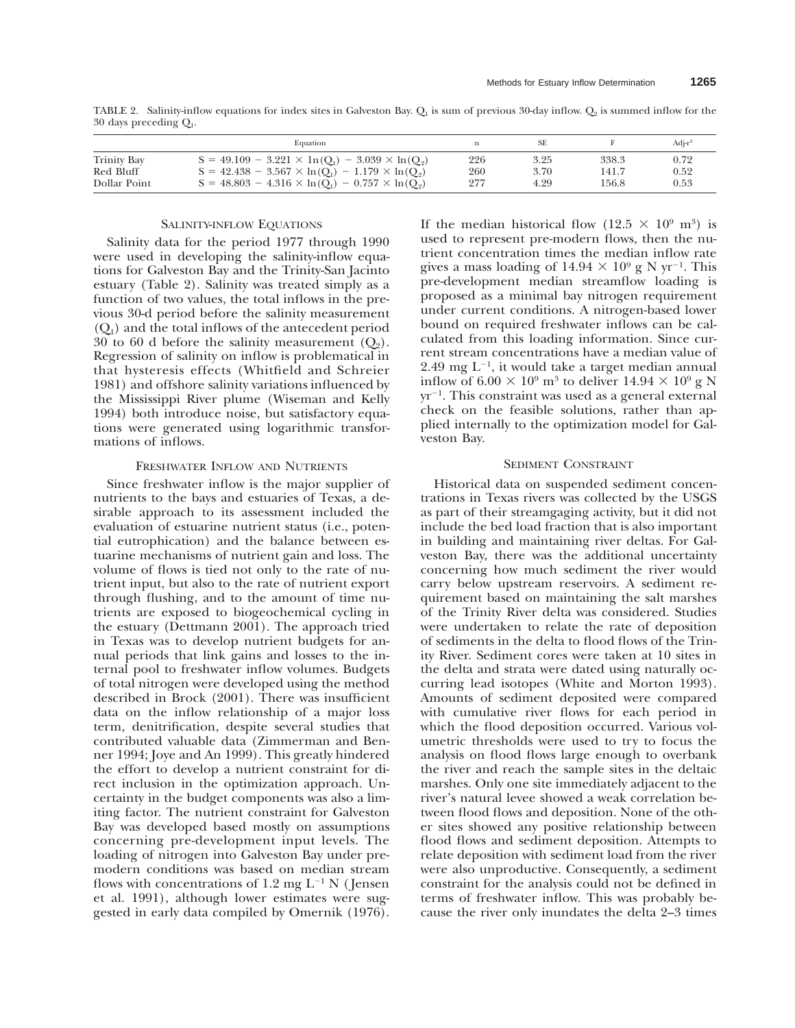TABLE 2. Salinity-inflow equations for index sites in Galveston Bay.  $Q_1$  is sum of previous 30-day inflow.  $Q_2$  is summed inflow for the 30 days preceding Q1.

|                    | Equation                                                     | n   | <b>SE</b> |       | $Adj-r^2$ |
|--------------------|--------------------------------------------------------------|-----|-----------|-------|-----------|
| <b>Trinity Bay</b> | $S = 49.109 - 3.221 \times ln(Q_1) - 3.039 \times ln(Q_2)$   | 226 | 3.25      | 338.3 | 0.72      |
| Red Bluff          | $S = 42.438 - 3.567 \times \ln(Q_1) - 1.179 \times \ln(Q_2)$ | 260 | 3.70      | 141.7 | 0.52      |
| Dollar Point       | $S = 48.803 - 4.316 \times \ln(Q_1) - 0.757 \times \ln(Q_2)$ | 277 | 4.29      | 156.8 | 0.53      |

## SALINITY-INFLOW EQUATIONS

Salinity data for the period 1977 through 1990 were used in developing the salinity-inflow equations for Galveston Bay and the Trinity-San Jacinto estuary (Table 2). Salinity was treated simply as a function of two values, the total inflows in the previous 30-d period before the salinity measurement  $(Q_1)$  and the total inflows of the antecedent period 30 to 60 d before the salinity measurement  $(Q_2)$ . Regression of salinity on inflow is problematical in that hysteresis effects (Whitfield and Schreier 1981) and offshore salinity variations influenced by the Mississippi River plume (Wiseman and Kelly 1994) both introduce noise, but satisfactory equations were generated using logarithmic transformations of inflows.

## FRESHWATER INFLOW AND NUTRIENTS

Since freshwater inflow is the major supplier of nutrients to the bays and estuaries of Texas, a desirable approach to its assessment included the evaluation of estuarine nutrient status (i.e., potential eutrophication) and the balance between estuarine mechanisms of nutrient gain and loss. The volume of flows is tied not only to the rate of nutrient input, but also to the rate of nutrient export through flushing, and to the amount of time nutrients are exposed to biogeochemical cycling in the estuary (Dettmann 2001). The approach tried in Texas was to develop nutrient budgets for annual periods that link gains and losses to the internal pool to freshwater inflow volumes. Budgets of total nitrogen were developed using the method described in Brock (2001). There was insufficient data on the inflow relationship of a major loss term, denitrification, despite several studies that contributed valuable data (Zimmerman and Benner 1994; Joye and An 1999). This greatly hindered the effort to develop a nutrient constraint for direct inclusion in the optimization approach. Uncertainty in the budget components was also a limiting factor. The nutrient constraint for Galveston Bay was developed based mostly on assumptions concerning pre-development input levels. The loading of nitrogen into Galveston Bay under premodern conditions was based on median stream flows with concentrations of 1.2 mg  $L^{-1}$  N (Jensen et al. 1991), although lower estimates were suggested in early data compiled by Omernik (1976).

If the median historical flow  $(12.5 \times 10^9 \text{ m}^3)$  is used to represent pre-modern flows, then the nutrient concentration times the median inflow rate gives a mass loading of  $14.94 \times 10^9$  g N yr<sup>-1</sup>. This pre-development median streamflow loading is proposed as a minimal bay nitrogen requirement under current conditions. A nitrogen-based lower bound on required freshwater inflows can be calculated from this loading information. Since current stream concentrations have a median value of  $2.49 \text{ mg } L^{-1}$ , it would take a target median annual inflow of  $6.00 \times 10^9$  m<sup>3</sup> to deliver  $14.94 \times 10^9$  g N  $yr^{-1}$ . This constraint was used as a general external check on the feasible solutions, rather than applied internally to the optimization model for Galveston Bay.

### SEDIMENT CONSTRAINT

Historical data on suspended sediment concentrations in Texas rivers was collected by the USGS as part of their streamgaging activity, but it did not include the bed load fraction that is also important in building and maintaining river deltas. For Galveston Bay, there was the additional uncertainty concerning how much sediment the river would carry below upstream reservoirs. A sediment requirement based on maintaining the salt marshes of the Trinity River delta was considered. Studies were undertaken to relate the rate of deposition of sediments in the delta to flood flows of the Trinity River. Sediment cores were taken at 10 sites in the delta and strata were dated using naturally occurring lead isotopes (White and Morton 1993). Amounts of sediment deposited were compared with cumulative river flows for each period in which the flood deposition occurred. Various volumetric thresholds were used to try to focus the analysis on flood flows large enough to overbank the river and reach the sample sites in the deltaic marshes. Only one site immediately adjacent to the river's natural levee showed a weak correlation between flood flows and deposition. None of the other sites showed any positive relationship between flood flows and sediment deposition. Attempts to relate deposition with sediment load from the river were also unproductive. Consequently, a sediment constraint for the analysis could not be defined in terms of freshwater inflow. This was probably because the river only inundates the delta 2–3 times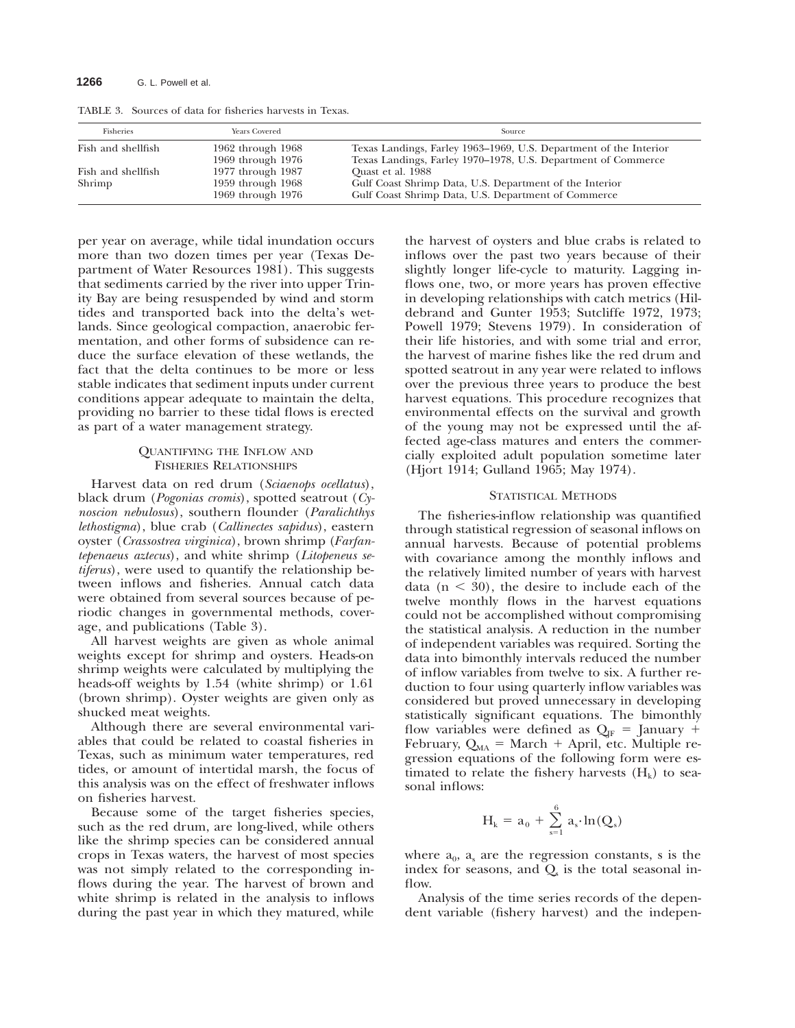TABLE 3. Sources of data for fisheries harvests in Texas.

| Fisheries          | Years Covered       | Source                                                            |
|--------------------|---------------------|-------------------------------------------------------------------|
| Fish and shellfish | 1962 through $1968$ | Texas Landings, Farley 1963–1969, U.S. Department of the Interior |
|                    | 1969 through $1976$ | Texas Landings, Farley 1970–1978, U.S. Department of Commerce     |
| Fish and shellfish | 1977 through 1987   | Quast et al. 1988                                                 |
| Shrimp             | 1959 through $1968$ | Gulf Coast Shrimp Data, U.S. Department of the Interior           |
|                    | 1969 through $1976$ | Gulf Coast Shrimp Data, U.S. Department of Commerce               |

per year on average, while tidal inundation occurs more than two dozen times per year (Texas Department of Water Resources 1981). This suggests that sediments carried by the river into upper Trinity Bay are being resuspended by wind and storm tides and transported back into the delta's wetlands. Since geological compaction, anaerobic fermentation, and other forms of subsidence can reduce the surface elevation of these wetlands, the fact that the delta continues to be more or less stable indicates that sediment inputs under current conditions appear adequate to maintain the delta, providing no barrier to these tidal flows is erected as part of a water management strategy.

# QUANTIFYING THE INFLOW AND FISHERIES RELATIONSHIPS

Harvest data on red drum (*Sciaenops ocellatus*), black drum (*Pogonias cromis*), spotted seatrout (*Cynoscion nebulosus*), southern flounder (*Paralichthys lethostigma*), blue crab (*Callinectes sapidus*), eastern oyster (*Crassostrea virginica*), brown shrimp (*Farfantepenaeus aztecus*), and white shrimp (*Litopeneus setiferus*), were used to quantify the relationship between inflows and fisheries. Annual catch data were obtained from several sources because of periodic changes in governmental methods, coverage, and publications (Table 3).

All harvest weights are given as whole animal weights except for shrimp and oysters. Heads-on shrimp weights were calculated by multiplying the heads-off weights by 1.54 (white shrimp) or 1.61 (brown shrimp). Oyster weights are given only as shucked meat weights.

Although there are several environmental variables that could be related to coastal fisheries in Texas, such as minimum water temperatures, red tides, or amount of intertidal marsh, the focus of this analysis was on the effect of freshwater inflows on fisheries harvest.

Because some of the target fisheries species, such as the red drum, are long-lived, while others like the shrimp species can be considered annual crops in Texas waters, the harvest of most species was not simply related to the corresponding inflows during the year. The harvest of brown and white shrimp is related in the analysis to inflows during the past year in which they matured, while the harvest of oysters and blue crabs is related to inflows over the past two years because of their slightly longer life-cycle to maturity. Lagging inflows one, two, or more years has proven effective in developing relationships with catch metrics (Hildebrand and Gunter 1953; Sutcliffe 1972, 1973; Powell 1979; Stevens 1979). In consideration of their life histories, and with some trial and error, the harvest of marine fishes like the red drum and spotted seatrout in any year were related to inflows over the previous three years to produce the best harvest equations. This procedure recognizes that environmental effects on the survival and growth of the young may not be expressed until the affected age-class matures and enters the commercially exploited adult population sometime later (Hjort 1914; Gulland 1965; May 1974).

## STATISTICAL METHODS

The fisheries-inflow relationship was quantified through statistical regression of seasonal inflows on annual harvests. Because of potential problems with covariance among the monthly inflows and the relatively limited number of years with harvest data  $(n < 30)$ , the desire to include each of the twelve monthly flows in the harvest equations could not be accomplished without compromising the statistical analysis. A reduction in the number of independent variables was required. Sorting the data into bimonthly intervals reduced the number of inflow variables from twelve to six. A further reduction to four using quarterly inflow variables was considered but proved unnecessary in developing statistically significant equations. The bimonthly flow variables were defined as  $Q_{\text{IF}} =$  January + February,  $Q_{MA}$  = March + April, etc. Multiple regression equations of the following form were estimated to relate the fishery harvests  $(H_k)$  to seasonal inflows:

$$
H_k = a_0 + \sum_{s=1}^{6} a_s \cdot ln(Q_s)
$$

where  $a_0$ ,  $a_s$  are the regression constants, s is the index for seasons, and  $Q_s$  is the total seasonal inflow.

Analysis of the time series records of the dependent variable (fishery harvest) and the indepen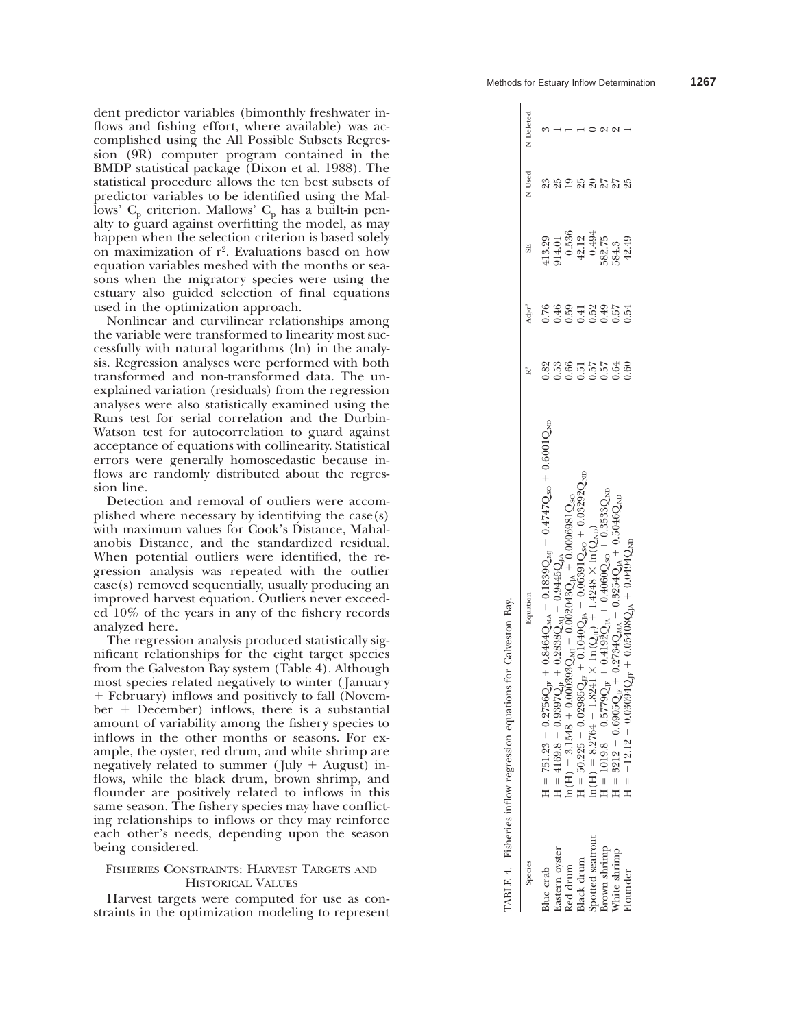dent predictor variables (bimonthly freshwater inflows and fishing effort, where available) was accomplished using the All Possible Subsets Regression (9R) computer program contained in the BMDP statistical package (Dixon et al. 1988). The statistical procedure allows the ten best subsets of predictor variables to be identified using the Mallows'  $C_p$  criterion. Mallows'  $C_p$  has a built-in penalty to guard against overfitting the model, as may happen when the selection criterion is based solely on maximization of r 2. Evaluations based on how equation variables meshed with the months or seasons when the migratory species were using the estuary also guided selection of final equations used in the optimization approach.

Nonlinear and curvilinear relationships among the variable were transformed to linearity most successfully with natural logarithms (ln) in the analysis. Regression analyses were performed with both transformed and non-transformed data. The unexplained variation (residuals) from the regression analyses were also statistically examined using the Runs test for serial correlation and the Durbin-Watson test for autocorrelation to guard against acceptance of equations with collinearity. Statistical errors were generally homoscedastic because inflows are randomly distributed about the regression line.

Detection and removal of outliers were accomplished where necessary by identifying the case(s) with maximum values for Cook's Distance, Mahalanobis Distance, and the standardized residual. When potential outliers were identified, the regression analysis was repeated with the outlier case(s) removed sequentially, usually producing an improved harvest equation. Outliers never exceeded 10% of the years in any of the fishery records analyzed here.

The regression analysis produced statistically significant relationships for the eight target species from the Galveston Bay system (Table 4). Although most species related negatively to winter ( January 1 February) inflows and positively to fall (Novem $ber + December)$  inflows, there is a substantial amount of variability among the fishery species to inflows in the other months or seasons. For example, the oyster, red drum, and white shrimp are negatively related to summer (July + August) inflows, while the black drum, brown shrimp, and flounder are positively related to inflows in this same season. The fishery species may have conflicting relationships to inflows or they may reinforce each other's needs, depending upon the season being considered.

# FISHERIES CONSTRAINTS: HARVEST TARGETS AND HISTORICAL VALUES

Harvest targets were computed for use as constraints in the optimization modeling to represent

| for Galveston Bay.<br>TABLE 4. Fisheries inflow regression equations !                 |                                                                                                                                                                                                                                                                                    |                    |                  |                                                                                             |           |
|----------------------------------------------------------------------------------------|------------------------------------------------------------------------------------------------------------------------------------------------------------------------------------------------------------------------------------------------------------------------------------|--------------------|------------------|---------------------------------------------------------------------------------------------|-----------|
| Equation                                                                               |                                                                                                                                                                                                                                                                                    | Adj-r <sup>2</sup> |                  | N Used                                                                                      | N Deleted |
|                                                                                        |                                                                                                                                                                                                                                                                                    | 0.76               | H3.29            |                                                                                             |           |
| $H = 4169.8 - 0.9397 Q_{\rm IF}$                                                       |                                                                                                                                                                                                                                                                                    | 0.46               |                  |                                                                                             |           |
| $002043Q_{\rm IA} + 0.0006981Q_{\rm SO}$                                               | .66                                                                                                                                                                                                                                                                                | 0.59               |                  |                                                                                             |           |
| $0.1040Q_{\rm IA} - 0.06391Q_{\rm SO} + 0.03292$<br>$= 50.225 - 0.02985Q$              | 151                                                                                                                                                                                                                                                                                | (4)                |                  |                                                                                             |           |
|                                                                                        |                                                                                                                                                                                                                                                                                    |                    |                  |                                                                                             |           |
| $+ 0.4060Qso + 0.3533($                                                                |                                                                                                                                                                                                                                                                                    |                    |                  |                                                                                             |           |
| $.3254Q1A + 0.5046QNN$<br>$0.2734Q_{M\text{A}}$<br>$H = 3212 - 0.6905 Q_{\text{fr}} +$ | 0.64                                                                                                                                                                                                                                                                               | 157                |                  |                                                                                             |           |
| $H = -12.12 - 0.03094 Q_{IF}$                                                          | 0.60                                                                                                                                                                                                                                                                               | .54                |                  |                                                                                             |           |
|                                                                                        | + $0.8464Q_{MA}$ - $0.1839Q_{MI}$ - $0.4747Q_{SO}$ + $0.6001Q_{ND}$<br>+ 1.4248 $\times$ ln( $Q_{\rm WD}$ )<br>$+292Q_{\rm IA}$<br>$\ln (Q_{\rm IF})$ +<br>$H = 751.23 - 0.2756 Q_{IF}$<br>$\ln(H) = 3.1548 + 0.0003$<br>$\ln(H) = 8.2764 - 1.824$<br>$H = 1019.8 - 0.5779 Q_{IF}$ | 0.57<br>57         | $0.52$<br>$0.49$ | $\begin{array}{c} 0.536 \\ 42.12 \\ 0.494 \end{array}$<br>582.75<br>584.3<br>14.01<br>42.49 |           |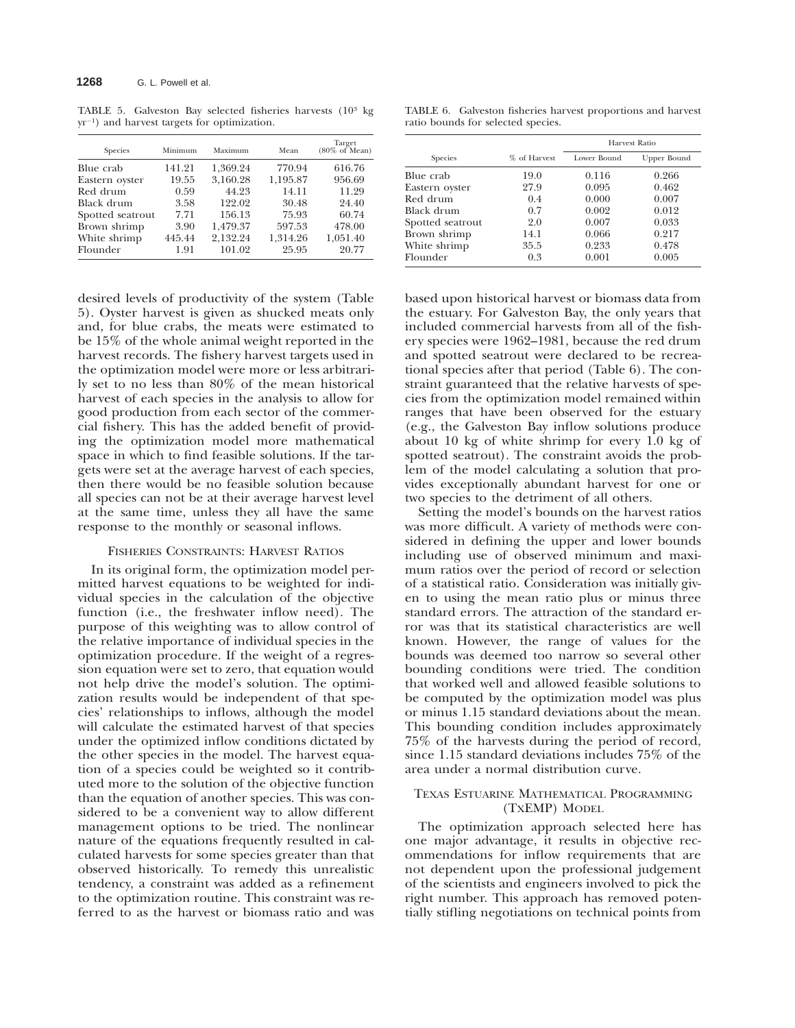TABLE 5. Galveston Bay selected fisheries harvests (103 kg  $yr^{-1}$ ) and harvest targets for optimization.

| Species           | Minimum | Maximum  | Mean     | Target<br>$(80\% \text{ of Mean})$ |
|-------------------|---------|----------|----------|------------------------------------|
| Blue crab         | 141.21  | 1,369.24 | 770.94   | 616.76                             |
| Eastern oyster    | 19.55   | 3,160.28 | 1,195.87 | 956.69                             |
| Red drum          | 0.59    | 44.23    | 14.11    | 11.29                              |
| <b>Black</b> drum | 3.58    | 122.02   | 30.48    | 24.40                              |
| Spotted seatrout  | 7.71    | 156.13   | 75.93    | 60.74                              |
| Brown shrimp      | 3.90    | 1,479.37 | 597.53   | 478.00                             |
| White shrimp      | 445.44  | 2,132.24 | 1,314.26 | 1,051.40                           |
| Flounder          | 1.91    | 101.02   | 25.95    | 20.77                              |

desired levels of productivity of the system (Table 5). Oyster harvest is given as shucked meats only and, for blue crabs, the meats were estimated to be 15% of the whole animal weight reported in the harvest records. The fishery harvest targets used in the optimization model were more or less arbitrarily set to no less than 80% of the mean historical harvest of each species in the analysis to allow for good production from each sector of the commercial fishery. This has the added benefit of providing the optimization model more mathematical space in which to find feasible solutions. If the targets were set at the average harvest of each species, then there would be no feasible solution because all species can not be at their average harvest level at the same time, unless they all have the same response to the monthly or seasonal inflows.

## FISHERIES CONSTRAINTS: HARVEST RATIOS

In its original form, the optimization model permitted harvest equations to be weighted for individual species in the calculation of the objective function (i.e., the freshwater inflow need). The purpose of this weighting was to allow control of the relative importance of individual species in the optimization procedure. If the weight of a regression equation were set to zero, that equation would not help drive the model's solution. The optimization results would be independent of that species' relationships to inflows, although the model will calculate the estimated harvest of that species under the optimized inflow conditions dictated by the other species in the model. The harvest equation of a species could be weighted so it contributed more to the solution of the objective function than the equation of another species. This was considered to be a convenient way to allow different management options to be tried. The nonlinear nature of the equations frequently resulted in calculated harvests for some species greater than that observed historically. To remedy this unrealistic tendency, a constraint was added as a refinement to the optimization routine. This constraint was referred to as the harvest or biomass ratio and was

TABLE 6. Galveston fisheries harvest proportions and harvest ratio bounds for selected species.

|                   |              | Harvest Ratio |             |
|-------------------|--------------|---------------|-------------|
| Species           | % of Harvest | Lower Bound   | Upper Bound |
| Blue crab         | 19.0         | 0.116         | 0.266       |
| Eastern oyster    | 27.9         | 0.095         | 0.462       |
| Red drum          | 0.4          | 0.000         | 0.007       |
| <b>Black</b> drum | 0.7          | 0.002         | 0.012       |
| Spotted seatrout  | 2.0          | 0.007         | 0.033       |
| Brown shrimp      | 14.1         | 0.066         | 0.217       |
| White shrimp      | 35.5         | 0.233         | 0.478       |
| Flounder          | 0.3          | 0.001         | 0.005       |

based upon historical harvest or biomass data from the estuary. For Galveston Bay, the only years that included commercial harvests from all of the fishery species were 1962–1981, because the red drum and spotted seatrout were declared to be recreational species after that period (Table 6). The constraint guaranteed that the relative harvests of species from the optimization model remained within ranges that have been observed for the estuary (e.g., the Galveston Bay inflow solutions produce about 10 kg of white shrimp for every 1.0 kg of spotted seatrout). The constraint avoids the problem of the model calculating a solution that provides exceptionally abundant harvest for one or two species to the detriment of all others.

Setting the model's bounds on the harvest ratios was more difficult. A variety of methods were considered in defining the upper and lower bounds including use of observed minimum and maximum ratios over the period of record or selection of a statistical ratio. Consideration was initially given to using the mean ratio plus or minus three standard errors. The attraction of the standard error was that its statistical characteristics are well known. However, the range of values for the bounds was deemed too narrow so several other bounding conditions were tried. The condition that worked well and allowed feasible solutions to be computed by the optimization model was plus or minus 1.15 standard deviations about the mean. This bounding condition includes approximately 75% of the harvests during the period of record, since 1.15 standard deviations includes 75% of the area under a normal distribution curve.

# TEXAS ESTUARINE MATHEMATICAL PROGRAMMING (TXEMP) MODEL

The optimization approach selected here has one major advantage, it results in objective recommendations for inflow requirements that are not dependent upon the professional judgement of the scientists and engineers involved to pick the right number. This approach has removed potentially stifling negotiations on technical points from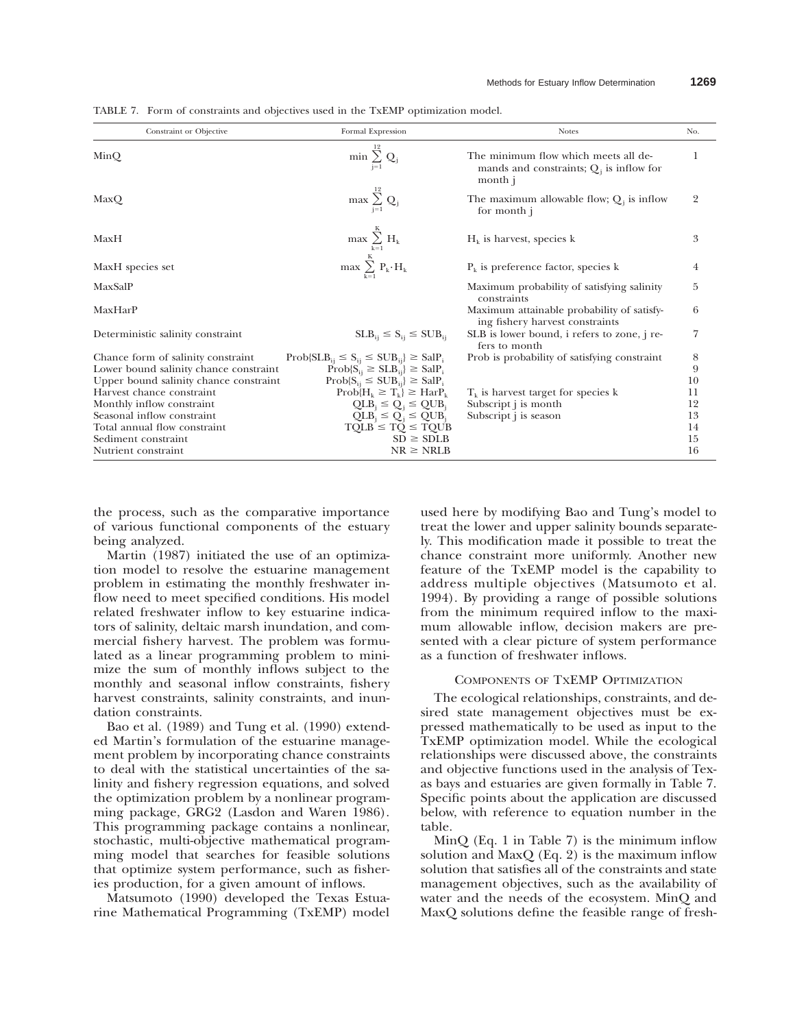| Constraint or Objective                | Formal Expression                                      | <b>Notes</b>                                                                                  | No.            |
|----------------------------------------|--------------------------------------------------------|-----------------------------------------------------------------------------------------------|----------------|
| MinQ                                   | $\min \sum_{j=1}^{\infty} Q_j$                         | The minimum flow which meets all de-<br>mands and constraints; $Q_i$ is inflow for<br>month j | 1              |
| MaxQ                                   | $\max \sum\limits_{j=1}^{12}\, Q_j$                    | The maximum allowable flow; $Q_i$ is inflow<br>for month j                                    | $\overline{2}$ |
| MaxH                                   | $\max\,\sum\limits_{k=1}^{K}\,H_k$                     | $H_k$ is harvest, species k                                                                   | 3              |
| MaxH species set                       | max $\sum_{k=1}^{K} P_k \cdot H_k$                     | $P_k$ is preference factor, species k                                                         | 4              |
| MaxSalP                                |                                                        | Maximum probability of satisfying salinity<br>constraints                                     | 5              |
| MaxHarP                                |                                                        | Maximum attainable probability of satisfy-<br>ing fishery harvest constraints                 | 6              |
| Deterministic salinity constraint      | $SLB_{ii} \le S_{ii} \le SUB_{ii}$                     | SLB is lower bound, i refers to zone, j re-<br>fers to month                                  | 7              |
| Chance form of salinity constraint     | $Prob[SLB_{ij} \leq S_{ij} \leq SUB_{ij}] \geq SalP_i$ | Prob is probability of satisfying constraint                                                  | 8              |
| Lower bound salinity chance constraint | $Prob{S_{ii} \geq SLB_{ii}} \geq SalP_i$               |                                                                                               | 9              |
| Upper bound salinity chance constraint | $Prob[S_{ij} \leq SUB_{ij}] \geq SalP_i$               |                                                                                               | 10             |
| Harvest chance constraint              | $Prob{H_k \geq T_k} \geq HarP_k$                       | $T_k$ is harvest target for species k                                                         | 11             |
| Monthly inflow constraint              | $QLB_i \le Q_i \le QUB_i$                              | Subscript <i>i</i> is month                                                                   | 12             |
| Seasonal inflow constraint             | $QLBi \le Qi \le QUBi$                                 | Subscript <i>i</i> is season                                                                  | 13             |
| Total annual flow constraint           | $TQLB \leq TQ \leq TQUB$                               |                                                                                               | 14             |
| Sediment constraint                    | $SD \geq SDLB$                                         |                                                                                               | 15             |
| Nutrient constraint                    | $NR \geq NRLB$                                         |                                                                                               | 16             |

TABLE 7. Form of constraints and objectives used in the TxEMP optimization model.

the process, such as the comparative importance of various functional components of the estuary being analyzed.

Martin (1987) initiated the use of an optimization model to resolve the estuarine management problem in estimating the monthly freshwater inflow need to meet specified conditions. His model related freshwater inflow to key estuarine indicators of salinity, deltaic marsh inundation, and commercial fishery harvest. The problem was formulated as a linear programming problem to minimize the sum of monthly inflows subject to the monthly and seasonal inflow constraints, fishery harvest constraints, salinity constraints, and inundation constraints.

Bao et al. (1989) and Tung et al. (1990) extended Martin's formulation of the estuarine management problem by incorporating chance constraints to deal with the statistical uncertainties of the salinity and fishery regression equations, and solved the optimization problem by a nonlinear programming package, GRG2 (Lasdon and Waren 1986). This programming package contains a nonlinear, stochastic, multi-objective mathematical programming model that searches for feasible solutions that optimize system performance, such as fisheries production, for a given amount of inflows.

Matsumoto (1990) developed the Texas Estuarine Mathematical Programming (TxEMP) model

used here by modifying Bao and Tung's model to treat the lower and upper salinity bounds separately. This modification made it possible to treat the chance constraint more uniformly. Another new feature of the TxEMP model is the capability to address multiple objectives (Matsumoto et al. 1994). By providing a range of possible solutions from the minimum required inflow to the maximum allowable inflow, decision makers are presented with a clear picture of system performance as a function of freshwater inflows.

## COMPONENTS OF TXEMP OPTIMIZATION

The ecological relationships, constraints, and desired state management objectives must be expressed mathematically to be used as input to the TxEMP optimization model. While the ecological relationships were discussed above, the constraints and objective functions used in the analysis of Texas bays and estuaries are given formally in Table 7. Specific points about the application are discussed below, with reference to equation number in the table.

MinQ (Eq. 1 in Table 7) is the minimum inflow solution and MaxQ (Eq. 2) is the maximum inflow solution that satisfies all of the constraints and state management objectives, such as the availability of water and the needs of the ecosystem. MinQ and MaxQ solutions define the feasible range of fresh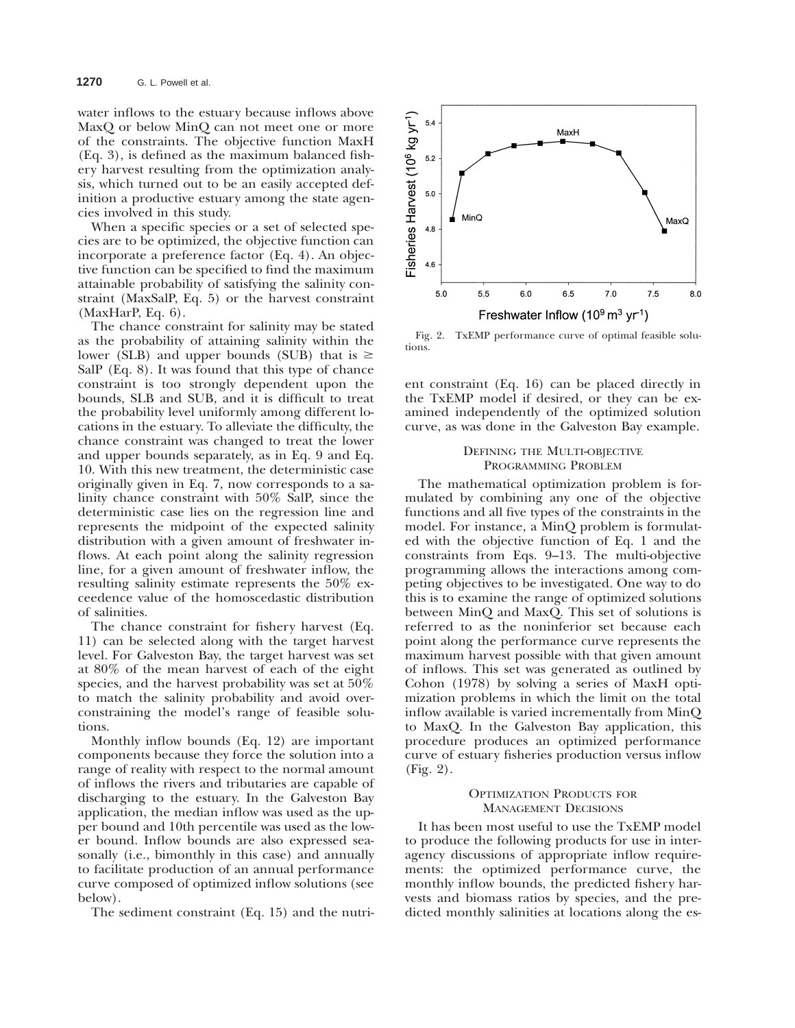water inflows to the estuary because inflows above MaxQ or below MinQ can not meet one or more of the constraints. The objective function MaxH (Eq. 3), is defined as the maximum balanced fishery harvest resulting from the optimization analysis, which turned out to be an easily accepted definition a productive estuary among the state agencies involved in this study.

When a specific species or a set of selected species are to be optimized, the objective function can incorporate a preference factor (Eq. 4). An objective function can be specified to find the maximum attainable probability of satisfying the salinity constraint (MaxSalP, Eq. 5) or the harvest constraint (MaxHarP, Eq. 6).

The chance constraint for salinity may be stated as the probability of attaining salinity within the lower (SLB) and upper bounds (SUB) that is  $\ge$ SalP (Eq. 8). It was found that this type of chance constraint is too strongly dependent upon the bounds, SLB and SUB, and it is difficult to treat the probability level uniformly among different locations in the estuary. To alleviate the difficulty, the chance constraint was changed to treat the lower and upper bounds separately, as in Eq. 9 and Eq. 10. With this new treatment, the deterministic case originally given in Eq. 7, now corresponds to a salinity chance constraint with 50% SalP, since the deterministic case lies on the regression line and represents the midpoint of the expected salinity distribution with a given amount of freshwater inflows. At each point along the salinity regression line, for a given amount of freshwater inflow, the resulting salinity estimate represents the 50% exceedence value of the homoscedastic distribution of salinities.

The chance constraint for fishery harvest (Eq. 11) can be selected along with the target harvest level. For Galveston Bay, the target harvest was set at 80% of the mean harvest of each of the eight species, and the harvest probability was set at 50% to match the salinity probability and avoid overconstraining the model's range of feasible solutions.

Monthly inflow bounds (Eq. 12) are important components because they force the solution into a range of reality with respect to the normal amount of inflows the rivers and tributaries are capable of discharging to the estuary. In the Galveston Bay application, the median inflow was used as the upper bound and 10th percentile was used as the lower bound. Inflow bounds are also expressed seasonally (i.e., bimonthly in this case) and annually to facilitate production of an annual performance curve composed of optimized inflow solutions (see below).

The sediment constraint (Eq. 15) and the nutri-



Fig. 2. TxEMP performance curve of optimal feasible solutions.

ent constraint (Eq. 16) can be placed directly in the TxEMP model if desired, or they can be examined independently of the optimized solution curve, as was done in the Galveston Bay example.

# DEFINING THE MULTI-OBJECTIVE PROGRAMMING PROBLEM

The mathematical optimization problem is formulated by combining any one of the objective functions and all five types of the constraints in the model. For instance, a MinQ problem is formulated with the objective function of Eq. 1 and the constraints from Eqs. 9–13. The multi-objective programming allows the interactions among competing objectives to be investigated. One way to do this is to examine the range of optimized solutions between MinQ and MaxQ. This set of solutions is referred to as the noninferior set because each point along the performance curve represents the maximum harvest possible with that given amount of inflows. This set was generated as outlined by Cohon (1978) by solving a series of MaxH optimization problems in which the limit on the total inflow available is varied incrementally from MinQ to MaxQ. In the Galveston Bay application, this procedure produces an optimized performance curve of estuary fisheries production versus inflow (Fig. 2).

# OPTIMIZATION PRODUCTS FOR MANAGEMENT DECISIONS

It has been most useful to use the TxEMP model to produce the following products for use in interagency discussions of appropriate inflow requirements: the optimized performance curve, the monthly inflow bounds, the predicted fishery harvests and biomass ratios by species, and the predicted monthly salinities at locations along the es-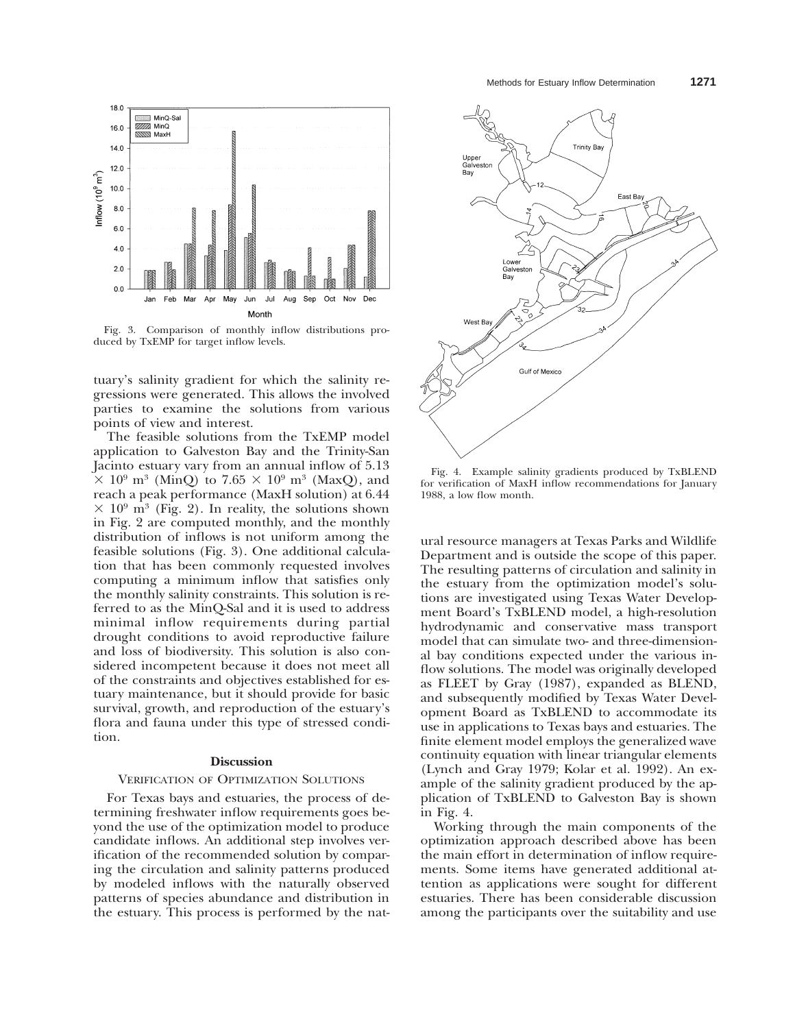

Fig. 3. Comparison of monthly inflow distributions produced by TxEMP for target inflow levels.

tuary's salinity gradient for which the salinity regressions were generated. This allows the involved parties to examine the solutions from various points of view and interest.

The feasible solutions from the TxEMP model application to Galveston Bay and the Trinity-San Jacinto estuary vary from an annual inflow of 5.13  $\times$  10<sup>9</sup> m<sup>3</sup> (MinQ) to 7.65  $\times$  10<sup>9</sup> m<sup>3</sup> (MaxQ), and reach a peak performance (MaxH solution) at 6.44  $\times$  10<sup>9</sup> m<sup>3</sup> (Fig. 2). In reality, the solutions shown in Fig. 2 are computed monthly, and the monthly distribution of inflows is not uniform among the feasible solutions (Fig. 3). One additional calculation that has been commonly requested involves computing a minimum inflow that satisfies only the monthly salinity constraints. This solution is referred to as the MinQ-Sal and it is used to address minimal inflow requirements during partial drought conditions to avoid reproductive failure and loss of biodiversity. This solution is also considered incompetent because it does not meet all of the constraints and objectives established for estuary maintenance, but it should provide for basic survival, growth, and reproduction of the estuary's flora and fauna under this type of stressed condition.

## **Discussion**

## VERIFICATION OF OPTIMIZATION SOLUTIONS

For Texas bays and estuaries, the process of determining freshwater inflow requirements goes beyond the use of the optimization model to produce candidate inflows. An additional step involves verification of the recommended solution by comparing the circulation and salinity patterns produced by modeled inflows with the naturally observed patterns of species abundance and distribution in the estuary. This process is performed by the nat-



Fig. 4. Example salinity gradients produced by TxBLEND for verification of MaxH inflow recommendations for January 1988, a low flow month.

ural resource managers at Texas Parks and Wildlife Department and is outside the scope of this paper. The resulting patterns of circulation and salinity in the estuary from the optimization model's solutions are investigated using Texas Water Development Board's TxBLEND model, a high-resolution hydrodynamic and conservative mass transport model that can simulate two- and three-dimensional bay conditions expected under the various inflow solutions. The model was originally developed as FLEET by Gray (1987), expanded as BLEND, and subsequently modified by Texas Water Development Board as TxBLEND to accommodate its use in applications to Texas bays and estuaries. The finite element model employs the generalized wave continuity equation with linear triangular elements (Lynch and Gray 1979; Kolar et al. 1992). An example of the salinity gradient produced by the application of TxBLEND to Galveston Bay is shown in Fig. 4.

Working through the main components of the optimization approach described above has been the main effort in determination of inflow requirements. Some items have generated additional attention as applications were sought for different estuaries. There has been considerable discussion among the participants over the suitability and use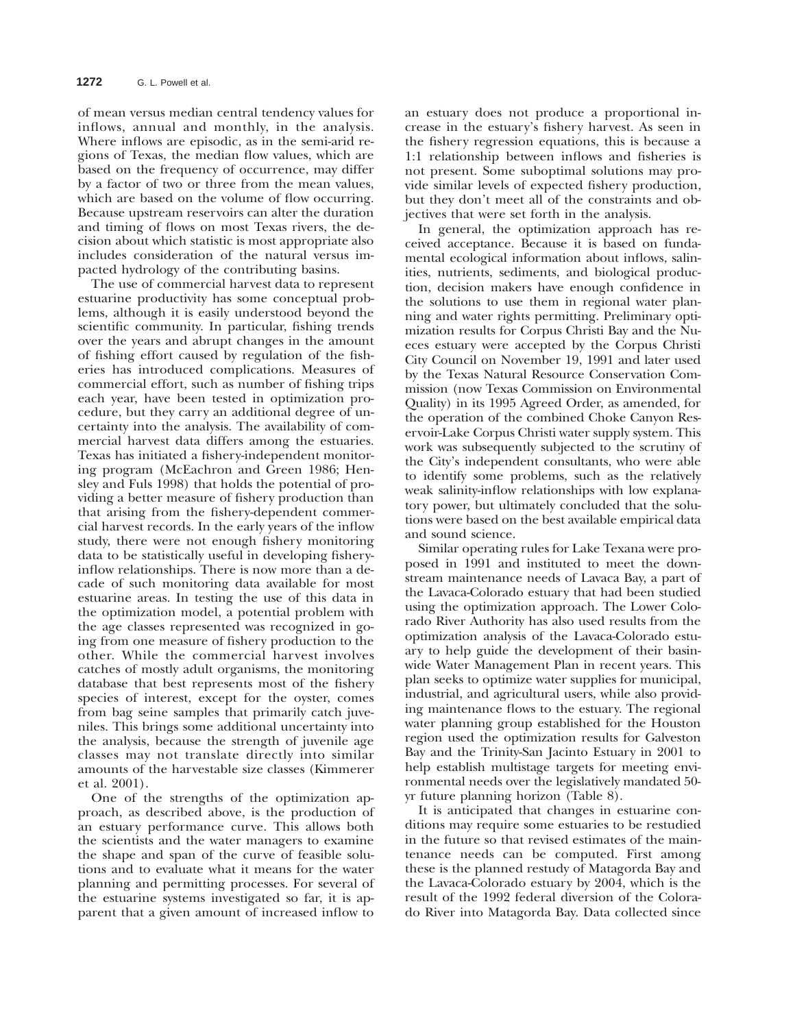of mean versus median central tendency values for inflows, annual and monthly, in the analysis. Where inflows are episodic, as in the semi-arid regions of Texas, the median flow values, which are based on the frequency of occurrence, may differ by a factor of two or three from the mean values, which are based on the volume of flow occurring. Because upstream reservoirs can alter the duration and timing of flows on most Texas rivers, the decision about which statistic is most appropriate also includes consideration of the natural versus impacted hydrology of the contributing basins.

The use of commercial harvest data to represent estuarine productivity has some conceptual problems, although it is easily understood beyond the scientific community. In particular, fishing trends over the years and abrupt changes in the amount of fishing effort caused by regulation of the fisheries has introduced complications. Measures of commercial effort, such as number of fishing trips each year, have been tested in optimization procedure, but they carry an additional degree of uncertainty into the analysis. The availability of commercial harvest data differs among the estuaries. Texas has initiated a fishery-independent monitoring program (McEachron and Green 1986; Hensley and Fuls 1998) that holds the potential of providing a better measure of fishery production than that arising from the fishery-dependent commercial harvest records. In the early years of the inflow study, there were not enough fishery monitoring data to be statistically useful in developing fisheryinflow relationships. There is now more than a decade of such monitoring data available for most estuarine areas. In testing the use of this data in the optimization model, a potential problem with the age classes represented was recognized in going from one measure of fishery production to the other. While the commercial harvest involves catches of mostly adult organisms, the monitoring database that best represents most of the fishery species of interest, except for the oyster, comes from bag seine samples that primarily catch juveniles. This brings some additional uncertainty into the analysis, because the strength of juvenile age classes may not translate directly into similar amounts of the harvestable size classes (Kimmerer et al. 2001).

One of the strengths of the optimization approach, as described above, is the production of an estuary performance curve. This allows both the scientists and the water managers to examine the shape and span of the curve of feasible solutions and to evaluate what it means for the water planning and permitting processes. For several of the estuarine systems investigated so far, it is apparent that a given amount of increased inflow to

an estuary does not produce a proportional increase in the estuary's fishery harvest. As seen in the fishery regression equations, this is because a 1:1 relationship between inflows and fisheries is not present. Some suboptimal solutions may provide similar levels of expected fishery production, but they don't meet all of the constraints and objectives that were set forth in the analysis.

In general, the optimization approach has received acceptance. Because it is based on fundamental ecological information about inflows, salinities, nutrients, sediments, and biological production, decision makers have enough confidence in the solutions to use them in regional water planning and water rights permitting. Preliminary optimization results for Corpus Christi Bay and the Nueces estuary were accepted by the Corpus Christi City Council on November 19, 1991 and later used by the Texas Natural Resource Conservation Commission (now Texas Commission on Environmental Quality) in its 1995 Agreed Order, as amended, for the operation of the combined Choke Canyon Reservoir-Lake Corpus Christi water supply system. This work was subsequently subjected to the scrutiny of the City's independent consultants, who were able to identify some problems, such as the relatively weak salinity-inflow relationships with low explanatory power, but ultimately concluded that the solutions were based on the best available empirical data and sound science.

Similar operating rules for Lake Texana were proposed in 1991 and instituted to meet the downstream maintenance needs of Lavaca Bay, a part of the Lavaca-Colorado estuary that had been studied using the optimization approach. The Lower Colorado River Authority has also used results from the optimization analysis of the Lavaca-Colorado estuary to help guide the development of their basinwide Water Management Plan in recent years. This plan seeks to optimize water supplies for municipal, industrial, and agricultural users, while also providing maintenance flows to the estuary. The regional water planning group established for the Houston region used the optimization results for Galveston Bay and the Trinity-San Jacinto Estuary in 2001 to help establish multistage targets for meeting environmental needs over the legislatively mandated 50 yr future planning horizon (Table 8).

It is anticipated that changes in estuarine conditions may require some estuaries to be restudied in the future so that revised estimates of the maintenance needs can be computed. First among these is the planned restudy of Matagorda Bay and the Lavaca-Colorado estuary by 2004, which is the result of the 1992 federal diversion of the Colorado River into Matagorda Bay. Data collected since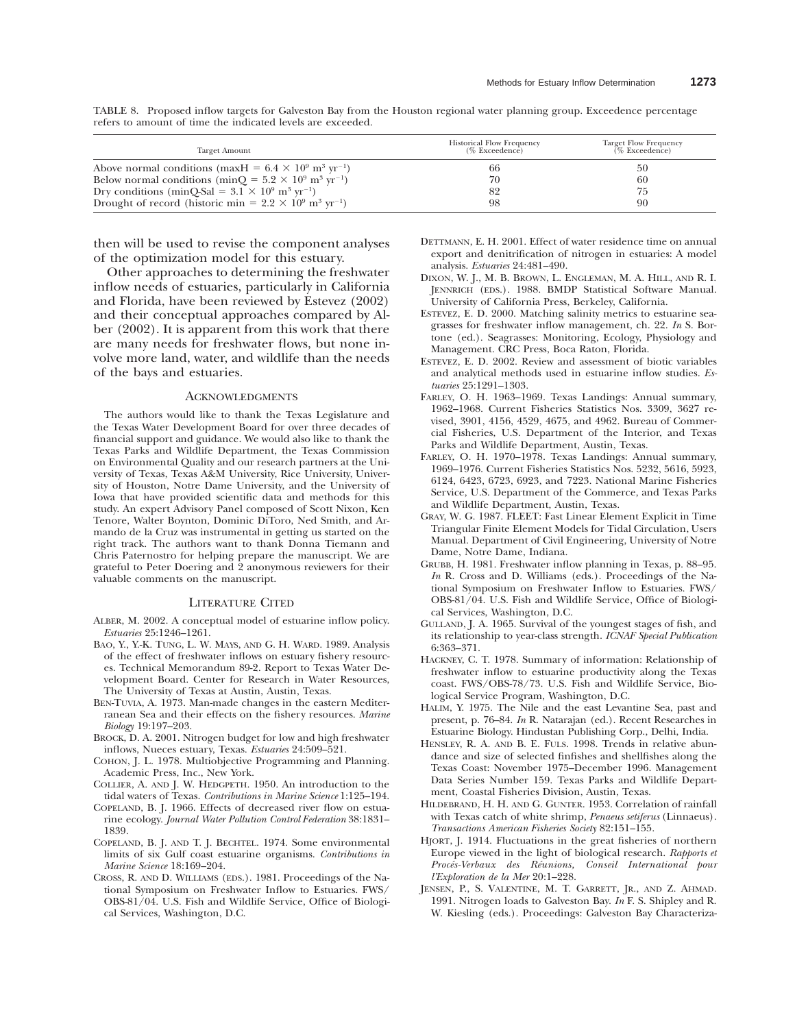| Target Amount                                                                         | <b>Historical Flow Frequency</b><br>$(\%$ Exceedence) | <b>Target Flow Frequency</b><br>$(\%$ Exceedence) |
|---------------------------------------------------------------------------------------|-------------------------------------------------------|---------------------------------------------------|
| Above normal conditions (maxH = $6.4 \times 10^9$ m <sup>3</sup> yr <sup>-1</sup> )   | 66                                                    | 50                                                |
| Below normal conditions (minQ = $5.2 \times 10^9$ m <sup>3</sup> yr <sup>-1</sup> )   | 70                                                    | 60                                                |
| Dry conditions (minQ-Sal = $3.1 \times 10^9$ m <sup>3</sup> yr <sup>-1</sup> )        | 82                                                    | 75                                                |
| Drought of record (historic min = $2.2 \times 10^9$ m <sup>3</sup> yr <sup>-1</sup> ) | 98                                                    | 90                                                |

TABLE 8. Proposed inflow targets for Galveston Bay from the Houston regional water planning group. Exceedence percentage refers to amount of time the indicated levels are exceeded.

then will be used to revise the component analyses of the optimization model for this estuary.

Other approaches to determining the freshwater inflow needs of estuaries, particularly in California and Florida, have been reviewed by Estevez (2002) and their conceptual approaches compared by Alber (2002). It is apparent from this work that there are many needs for freshwater flows, but none involve more land, water, and wildlife than the needs of the bays and estuaries.

## **ACKNOWLEDGMENTS**

The authors would like to thank the Texas Legislature and the Texas Water Development Board for over three decades of financial support and guidance. We would also like to thank the Texas Parks and Wildlife Department, the Texas Commission on Environmental Quality and our research partners at the University of Texas, Texas A&M University, Rice University, University of Houston, Notre Dame University, and the University of Iowa that have provided scientific data and methods for this study. An expert Advisory Panel composed of Scott Nixon, Ken Tenore, Walter Boynton, Dominic DiToro, Ned Smith, and Armando de la Cruz was instrumental in getting us started on the right track. The authors want to thank Donna Tiemann and Chris Paternostro for helping prepare the manuscript. We are grateful to Peter Doering and 2 anonymous reviewers for their valuable comments on the manuscript.

#### LITERATURE CITED

- ALBER, M. 2002. A conceptual model of estuarine inflow policy. *Estuaries* 25:1246–1261.
- BAO, Y., Y.-K. TUNG, L. W. MAYS, AND G. H. WARD. 1989. Analysis of the effect of freshwater inflows on estuary fishery resources. Technical Memorandum 89-2. Report to Texas Water Development Board. Center for Research in Water Resources, The University of Texas at Austin, Austin, Texas.
- BEN-TUVIA, A. 1973. Man-made changes in the eastern Mediterranean Sea and their effects on the fishery resources. *Marine Biology* 19:197–203.
- BROCK, D. A. 2001. Nitrogen budget for low and high freshwater inflows, Nueces estuary, Texas. *Estuaries* 24:509–521.
- COHON, J. L. 1978. Multiobjective Programming and Planning. Academic Press, Inc., New York.
- COLLIER, A. AND J. W. HEDGPETH. 1950. An introduction to the tidal waters of Texas. *Contributions in Marine Science* 1:125–194.
- COPELAND, B. J. 1966. Effects of decreased river flow on estuarine ecology. *Journal Water Pollution Control Federation* 38:1831– 1839.
- COPELAND, B. J. AND T. J. BECHTEL. 1974. Some environmental limits of six Gulf coast estuarine organisms. *Contributions in Marine Science* 18:169–204.
- CROSS, R. AND D. WILLIAMS (EDS.). 1981. Proceedings of the National Symposium on Freshwater Inflow to Estuaries. FWS/ OBS-81/04. U.S. Fish and Wildlife Service, Office of Biological Services, Washington, D.C.
- DETTMANN, E. H. 2001. Effect of water residence time on annual export and denitrification of nitrogen in estuaries: A model analysis. *Estuaries* 24:481–490.
- DIXON, W. J., M. B. BROWN, L. ENGLEMAN, M. A. HILL, AND R. I. JENNRICH (EDS.). 1988. BMDP Statistical Software Manual. University of California Press, Berkeley, California.
- ESTEVEZ, E. D. 2000. Matching salinity metrics to estuarine seagrasses for freshwater inflow management, ch. 22. *In* S. Bortone (ed.). Seagrasses: Monitoring, Ecology, Physiology and Management. CRC Press, Boca Raton, Florida.
- ESTEVEZ, E. D. 2002. Review and assessment of biotic variables and analytical methods used in estuarine inflow studies. *Estuaries* 25:1291–1303.
- FARLEY, O. H. 1963–1969. Texas Landings: Annual summary, 1962–1968. Current Fisheries Statistics Nos. 3309, 3627 revised, 3901, 4156, 4529, 4675, and 4962. Bureau of Commercial Fisheries, U.S. Department of the Interior, and Texas Parks and Wildlife Department, Austin, Texas.
- FARLEY, O. H. 1970–1978. Texas Landings: Annual summary, 1969–1976. Current Fisheries Statistics Nos. 5232, 5616, 5923, 6124, 6423, 6723, 6923, and 7223. National Marine Fisheries Service, U.S. Department of the Commerce, and Texas Parks and Wildlife Department, Austin, Texas.
- GRAY, W. G. 1987. FLEET: Fast Linear Element Explicit in Time Triangular Finite Element Models for Tidal Circulation, Users Manual. Department of Civil Engineering, University of Notre Dame, Notre Dame, Indiana.
- GRUBB, H. 1981. Freshwater inflow planning in Texas, p. 88–95. *In* R. Cross and D. Williams (eds.). Proceedings of the National Symposium on Freshwater Inflow to Estuaries. FWS/ OBS-81/04. U.S. Fish and Wildlife Service, Office of Biological Services, Washington, D.C.
- GULLAND, J. A. 1965. Survival of the youngest stages of fish, and its relationship to year-class strength. *ICNAF Special Publication* 6:363–371.
- HACKNEY, C. T. 1978. Summary of information: Relationship of freshwater inflow to estuarine productivity along the Texas coast. FWS/OBS-78/73. U.S. Fish and Wildlife Service, Biological Service Program, Washington, D.C.
- HALIM, Y. 1975. The Nile and the east Levantine Sea, past and present, p. 76–84. *In* R. Natarajan (ed.). Recent Researches in Estuarine Biology. Hindustan Publishing Corp., Delhi, India.
- HENSLEY, R. A. AND B. E. FULS. 1998. Trends in relative abundance and size of selected finfishes and shellfishes along the Texas Coast: November 1975–December 1996. Management Data Series Number 159. Texas Parks and Wildlife Department, Coastal Fisheries Division, Austin, Texas.
- HILDEBRAND, H. H. AND G. GUNTER. 1953. Correlation of rainfall with Texas catch of white shrimp, *Penaeus setiferus* (Linnaeus). *Transactions American Fisheries Society* 82:151–155.
- HJORT, J. 1914. Fluctuations in the great fisheries of northern Europe viewed in the light of biological research. *Rapports et Proce´s-Verbaux des Re´unions, Conseil International pour l'Exploration de la Mer* 20:1–228.
- JENSEN, P., S. VALENTINE, M. T. GARRETT, JR., AND Z. AHMAD. 1991. Nitrogen loads to Galveston Bay. *In* F. S. Shipley and R. W. Kiesling (eds.). Proceedings: Galveston Bay Characteriza-